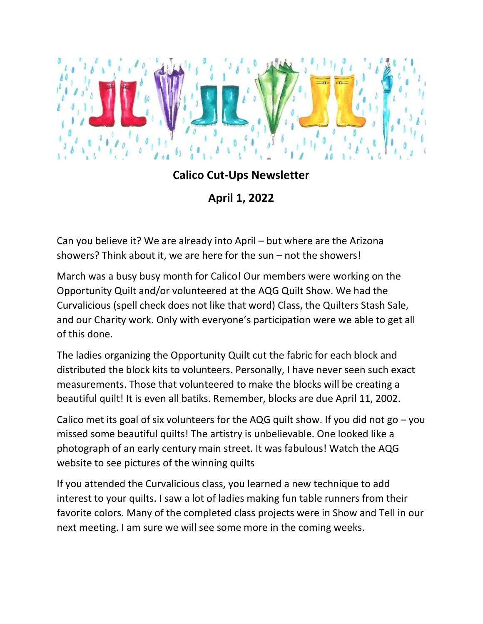

## Calico Cut-Ups Newsletter

April 1, 2022

Can you believe it? We are already into April – but where are the Arizona showers? Think about it, we are here for the sun – not the showers!

March was a busy busy month for Calico! Our members were working on the Opportunity Quilt and/or volunteered at the AQG Quilt Show. We had the Curvalicious (spell check does not like that word) Class, the Quilters Stash Sale, and our Charity work. Only with everyone's participation were we able to get all of this done.

The ladies organizing the Opportunity Quilt cut the fabric for each block and distributed the block kits to volunteers. Personally, I have never seen such exact measurements. Those that volunteered to make the blocks will be creating a beautiful quilt! It is even all batiks. Remember, blocks are due April 11, 2002.

Calico met its goal of six volunteers for the AQG quilt show. If you did not go  $-$  you missed some beautiful quilts! The artistry is unbelievable. One looked like a photograph of an early century main street. It was fabulous! Watch the AQG website to see pictures of the winning quilts

If you attended the Curvalicious class, you learned a new technique to add interest to your quilts. I saw a lot of ladies making fun table runners from their favorite colors. Many of the completed class projects were in Show and Tell in our next meeting. I am sure we will see some more in the coming weeks.